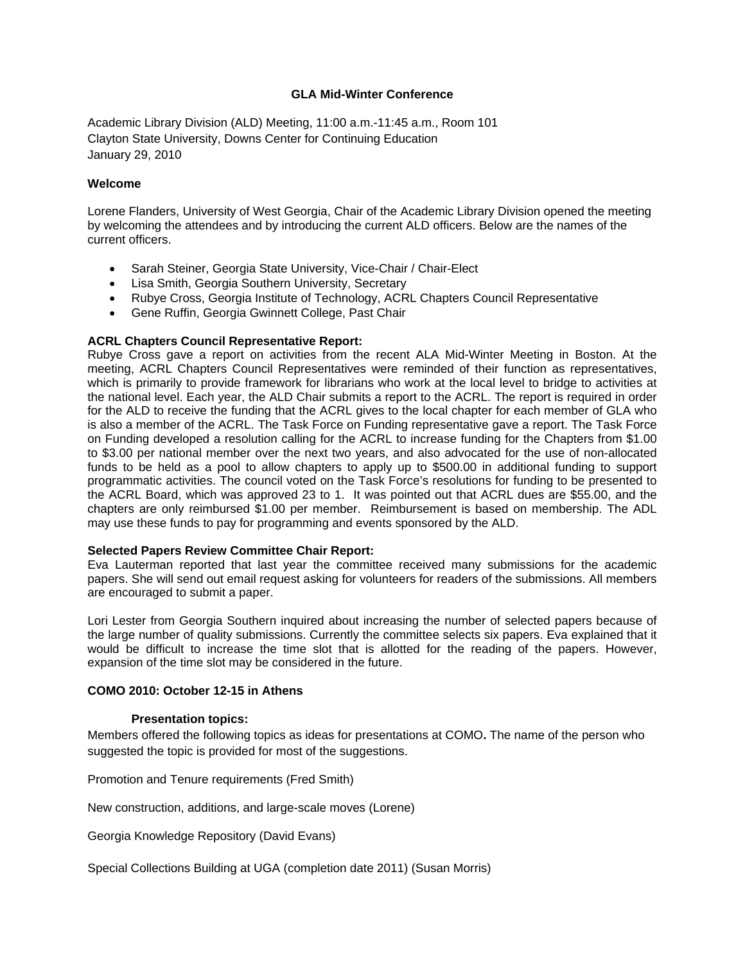# **GLA Mid-Winter Conference**

Academic Library Division (ALD) Meeting, 11:00 a.m.-11:45 a.m., Room 101 Clayton State University, Downs Center for Continuing Education January 29, 2010

# **Welcome**

Lorene Flanders, University of West Georgia, Chair of the Academic Library Division opened the meeting by welcoming the attendees and by introducing the current ALD officers. Below are the names of the current officers.

- Sarah Steiner, Georgia State University, Vice-Chair / Chair-Elect
- Lisa Smith, Georgia Southern University, Secretary
- Rubye Cross, Georgia Institute of Technology, ACRL Chapters Council Representative
- Gene Ruffin, Georgia Gwinnett College, Past Chair

### **ACRL Chapters Council Representative Report:**

Rubye Cross gave a report on activities from the recent ALA Mid-Winter Meeting in Boston. At the meeting, ACRL Chapters Council Representatives were reminded of their function as representatives, which is primarily to provide framework for librarians who work at the local level to bridge to activities at the national level. Each year, the ALD Chair submits a report to the ACRL. The report is required in order for the ALD to receive the funding that the ACRL gives to the local chapter for each member of GLA who is also a member of the ACRL. The Task Force on Funding representative gave a report. The Task Force on Funding developed a resolution calling for the ACRL to increase funding for the Chapters from \$1.00 to \$3.00 per national member over the next two years, and also advocated for the use of non-allocated funds to be held as a pool to allow chapters to apply up to \$500.00 in additional funding to support programmatic activities. The council voted on the Task Force's resolutions for funding to be presented to the ACRL Board, which was approved 23 to 1. It was pointed out that ACRL dues are \$55.00, and the chapters are only reimbursed \$1.00 per member. Reimbursement is based on membership. The ADL may use these funds to pay for programming and events sponsored by the ALD.

### **Selected Papers Review Committee Chair Report:**

Eva Lauterman reported that last year the committee received many submissions for the academic papers. She will send out email request asking for volunteers for readers of the submissions. All members are encouraged to submit a paper.

Lori Lester from Georgia Southern inquired about increasing the number of selected papers because of the large number of quality submissions. Currently the committee selects six papers. Eva explained that it would be difficult to increase the time slot that is allotted for the reading of the papers. However, expansion of the time slot may be considered in the future.

# **COMO 2010: October 12-15 in Athens**

### **Presentation topics:**

Members offered the following topics as ideas for presentations at COMO**.** The name of the person who suggested the topic is provided for most of the suggestions.

Promotion and Tenure requirements (Fred Smith)

New construction, additions, and large-scale moves (Lorene)

Georgia Knowledge Repository (David Evans)

Special Collections Building at UGA (completion date 2011) (Susan Morris)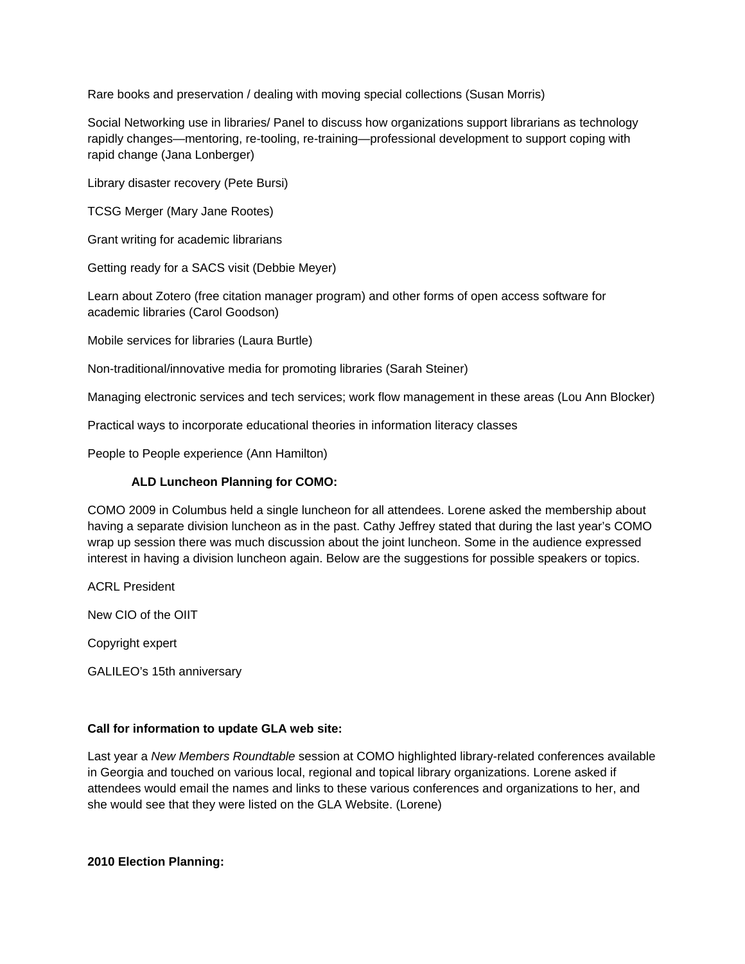Rare books and preservation / dealing with moving special collections (Susan Morris)

Social Networking use in libraries/ Panel to discuss how organizations support librarians as technology rapidly changes—mentoring, re-tooling, re-training—professional development to support coping with rapid change (Jana Lonberger)

Library disaster recovery (Pete Bursi)

TCSG Merger (Mary Jane Rootes)

Grant writing for academic librarians

Getting ready for a SACS visit (Debbie Meyer)

Learn about Zotero (free citation manager program) and other forms of open access software for academic libraries (Carol Goodson)

Mobile services for libraries (Laura Burtle)

Non-traditional/innovative media for promoting libraries (Sarah Steiner)

Managing electronic services and tech services; work flow management in these areas (Lou Ann Blocker)

Practical ways to incorporate educational theories in information literacy classes

People to People experience (Ann Hamilton)

# **ALD Luncheon Planning for COMO:**

COMO 2009 in Columbus held a single luncheon for all attendees. Lorene asked the membership about having a separate division luncheon as in the past. Cathy Jeffrey stated that during the last year's COMO wrap up session there was much discussion about the joint luncheon. Some in the audience expressed interest in having a division luncheon again. Below are the suggestions for possible speakers or topics.

ACRL President

New CIO of the OIIT

Copyright expert

GALILEO's 15th anniversary

### **Call for information to update GLA web site:**

Last year a *New Members Roundtable* session at COMO highlighted library-related conferences available in Georgia and touched on various local, regional and topical library organizations. Lorene asked if attendees would email the names and links to these various conferences and organizations to her, and she would see that they were listed on the GLA Website. (Lorene)

**2010 Election Planning:**